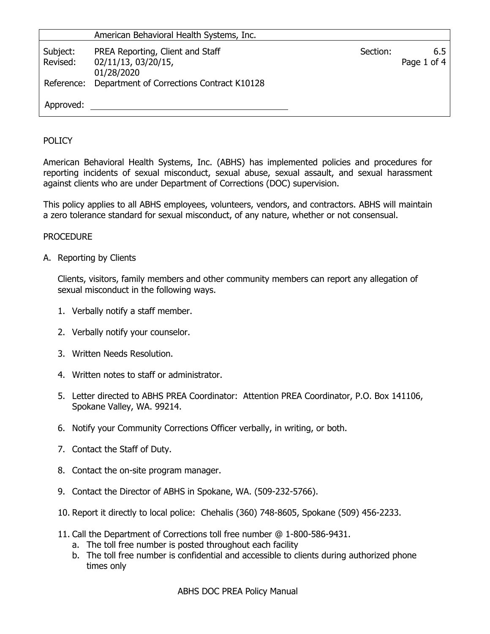|                      | American Behavioral Health Systems, Inc.                              |          |                    |
|----------------------|-----------------------------------------------------------------------|----------|--------------------|
| Subject:<br>Revised: | PREA Reporting, Client and Staff<br>02/11/13, 03/20/15,<br>01/28/2020 | Section: | 6.5<br>Page 1 of 4 |
|                      | Reference: Department of Corrections Contract K10128                  |          |                    |
| Approved:            |                                                                       |          |                    |

## POLICY

American Behavioral Health Systems, Inc. (ABHS) has implemented policies and procedures for reporting incidents of sexual misconduct, sexual abuse, sexual assault, and sexual harassment against clients who are under Department of Corrections (DOC) supervision.

This policy applies to all ABHS employees, volunteers, vendors, and contractors. ABHS will maintain a zero tolerance standard for sexual misconduct, of any nature, whether or not consensual.

## PROCEDURE

A. Reporting by Clients

Clients, visitors, family members and other community members can report any allegation of sexual misconduct in the following ways.

- 1. Verbally notify a staff member.
- 2. Verbally notify your counselor.
- 3. Written Needs Resolution.
- 4. Written notes to staff or administrator.
- 5. Letter directed to ABHS PREA Coordinator: Attention PREA Coordinator, P.O. Box 141106, Spokane Valley, WA. 99214.
- 6. Notify your Community Corrections Officer verbally, in writing, or both.
- 7. Contact the Staff of Duty.
- 8. Contact the on-site program manager.
- 9. Contact the Director of ABHS in Spokane, WA. (509-232-5766).
- 10. Report it directly to local police: Chehalis (360) 748-8605, Spokane (509) 456-2233.
- 11. Call the Department of Corrections toll free number @ 1-800-586-9431.
	- a. The toll free number is posted throughout each facility
	- b. The toll free number is confidential and accessible to clients during authorized phone times only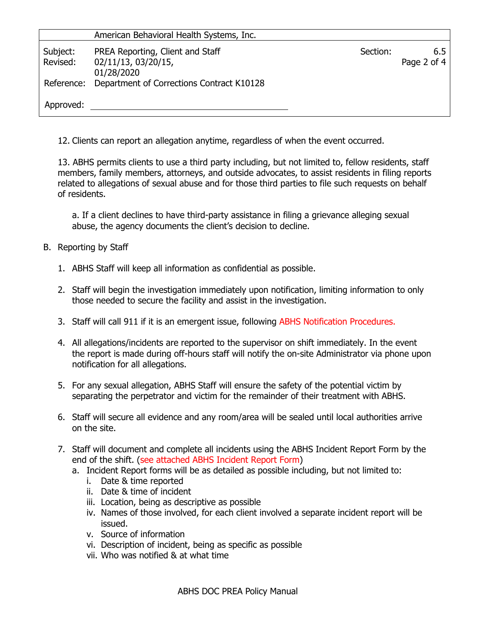|                      | American Behavioral Health Systems, Inc.                              |          |                    |
|----------------------|-----------------------------------------------------------------------|----------|--------------------|
| Subject:<br>Revised: | PREA Reporting, Client and Staff<br>02/11/13, 03/20/15,<br>01/28/2020 | Section: | 6.5<br>Page 2 of 4 |
|                      | Reference: Department of Corrections Contract K10128                  |          |                    |
| Approved:            |                                                                       |          |                    |

12. Clients can report an allegation anytime, regardless of when the event occurred.

13. ABHS permits clients to use a third party including, but not limited to, fellow residents, staff members, family members, attorneys, and outside advocates, to assist residents in filing reports related to allegations of sexual abuse and for those third parties to file such requests on behalf of residents.

a. If a client declines to have third-party assistance in filing a grievance alleging sexual abuse, the agency documents the client's decision to decline.

- B. Reporting by Staff
	- 1. ABHS Staff will keep all information as confidential as possible.
	- 2. Staff will begin the investigation immediately upon notification, limiting information to only those needed to secure the facility and assist in the investigation.
	- 3. Staff will call 911 if it is an emergent issue, following ABHS Notification Procedures.
	- 4. All allegations/incidents are reported to the supervisor on shift immediately. In the event the report is made during off-hours staff will notify the on-site Administrator via phone upon notification for all allegations.
	- 5. For any sexual allegation, ABHS Staff will ensure the safety of the potential victim by separating the perpetrator and victim for the remainder of their treatment with ABHS.
	- 6. Staff will secure all evidence and any room/area will be sealed until local authorities arrive on the site.
	- 7. Staff will document and complete all incidents using the ABHS Incident Report Form by the end of the shift. (see attached ABHS Incident Report Form)
		- a. Incident Report forms will be as detailed as possible including, but not limited to:
			- i. Date & time reported
			- ii. Date & time of incident
			- iii. Location, being as descriptive as possible
			- iv. Names of those involved, for each client involved a separate incident report will be issued.
			- v. Source of information
			- vi. Description of incident, being as specific as possible
			- vii. Who was notified & at what time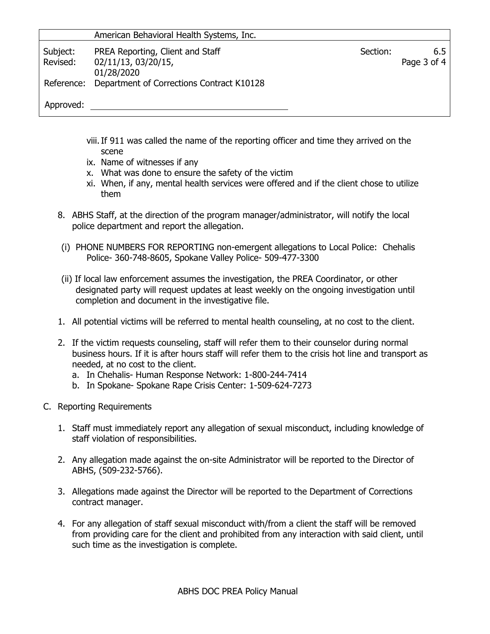|                      | American Behavioral Health Systems, Inc.                              |          |                        |
|----------------------|-----------------------------------------------------------------------|----------|------------------------|
| Subject:<br>Revised: | PREA Reporting, Client and Staff<br>02/11/13, 03/20/15,<br>01/28/2020 | Section: | 6.5<br>Page $3$ of $4$ |
|                      | Reference: Department of Corrections Contract K10128                  |          |                        |
| Approved:            |                                                                       |          |                        |

- viii.If 911 was called the name of the reporting officer and time they arrived on the scene
- ix. Name of witnesses if any
- x. What was done to ensure the safety of the victim
- xi. When, if any, mental health services were offered and if the client chose to utilize them
- 8. ABHS Staff, at the direction of the program manager/administrator, will notify the local police department and report the allegation.
- (i) PHONE NUMBERS FOR REPORTING non-emergent allegations to Local Police: Chehalis Police- 360-748-8605, Spokane Valley Police- 509-477-3300
- (ii) If local law enforcement assumes the investigation, the PREA Coordinator, or other designated party will request updates at least weekly on the ongoing investigation until completion and document in the investigative file.
- 1. All potential victims will be referred to mental health counseling, at no cost to the client.
- 2. If the victim requests counseling, staff will refer them to their counselor during normal business hours. If it is after hours staff will refer them to the crisis hot line and transport as needed, at no cost to the client.
	- a. In Chehalis- Human Response Network: 1-800-244-7414
	- b. In Spokane- Spokane Rape Crisis Center: 1-509-624-7273
- C. Reporting Requirements
	- 1. Staff must immediately report any allegation of sexual misconduct, including knowledge of staff violation of responsibilities.
	- 2. Any allegation made against the on-site Administrator will be reported to the Director of ABHS, (509-232-5766).
	- 3. Allegations made against the Director will be reported to the Department of Corrections contract manager.
	- 4. For any allegation of staff sexual misconduct with/from a client the staff will be removed from providing care for the client and prohibited from any interaction with said client, until such time as the investigation is complete.